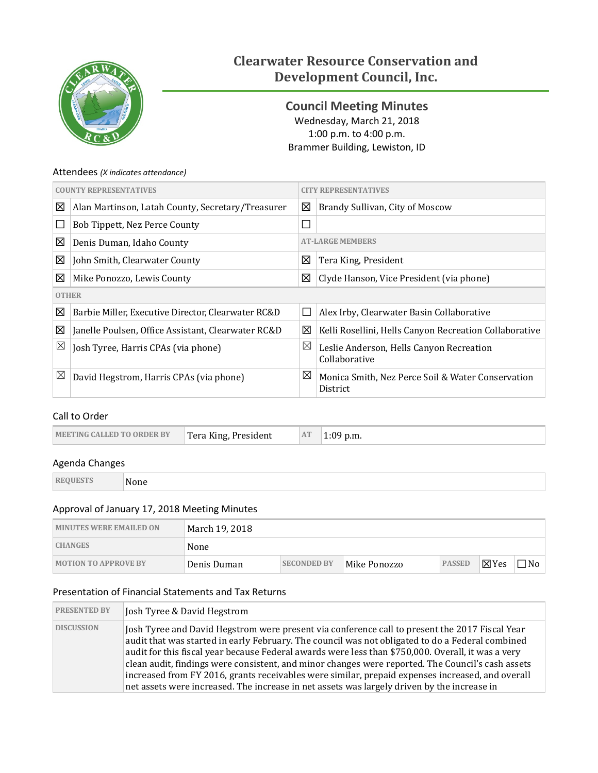

# **Clearwater Resource Conservation and Development Council, Inc.**

<span id="page-0-0"></span>**Council Meeting Minutes** Wednesday, March 21, 2018 1:00 p.m. to 4:00 p.m. Brammer Building, Lewiston, ID

#### Attendees *(X indicates attendance)*

|              | <b>COUNTY REPRESENTATIVES</b>                      | 'Y REPRESENTATIVES |                                                               |  |
|--------------|----------------------------------------------------|--------------------|---------------------------------------------------------------|--|
| 図            | Alan Martinson, Latah County, Secretary/Treasurer  | 図                  | Brandy Sullivan, City of Moscow                               |  |
| $\Box$       | Bob Tippett, Nez Perce County                      | $\Box$             |                                                               |  |
| 図            | Denis Duman, Idaho County                          |                    | <b>AT-LARGE MEMBERS</b>                                       |  |
| ⊠            | John Smith, Clearwater County                      | ⊠                  | Tera King, President                                          |  |
| ⊠            | Mike Ponozzo, Lewis County                         | 図                  | Clyde Hanson, Vice President (via phone)                      |  |
| <b>OTHER</b> |                                                    |                    |                                                               |  |
| ⊠            | Barbie Miller, Executive Director, Clearwater RC&D | $\Box$             | Alex Irby, Clearwater Basin Collaborative                     |  |
| ⊠            | Janelle Poulsen, Office Assistant, Clearwater RC&D | 区                  | Kelli Rosellini, Hells Canyon Recreation Collaborative        |  |
| ⊠            | Josh Tyree, Harris CPAs (via phone)                | ⊠                  | Leslie Anderson, Hells Canyon Recreation<br>Collaborative     |  |
| ⊠            | David Hegstrom, Harris CPAs (via phone)            | ⊠                  | Monica Smith, Nez Perce Soil & Water Conservation<br>District |  |

#### Call to Order

| MEETING CALLED TO ORDER BY<br>Tera King, President | AT<br>$1:09$ p.m. |  |
|----------------------------------------------------|-------------------|--|
|----------------------------------------------------|-------------------|--|

#### Agenda Changes

| REOUES | None<br>- - - - - - |
|--------|---------------------|

#### Approval of January 17, 2018 Meeting Minutes

| <b>MINUTES WERE EMAILED ON</b> | March 19, 2018 |                    |              |               |                 |     |
|--------------------------------|----------------|--------------------|--------------|---------------|-----------------|-----|
| <b>CHANGES</b>                 | None           |                    |              |               |                 |     |
| <b>MOTION TO APPROVE BY</b>    | Denis Duman    | <b>SECONDED BY</b> | Mike Ponozzo | <b>PASSED</b> | $\boxtimes$ Yes | ∩No |

#### Presentation of Financial Statements and Tax Returns

| <b>PRESENTED BY</b> | Josh Tyree & David Hegstrom                                                                                                                                                                                                                                                                                                                                                                                                                                                                                                                                                                                      |
|---------------------|------------------------------------------------------------------------------------------------------------------------------------------------------------------------------------------------------------------------------------------------------------------------------------------------------------------------------------------------------------------------------------------------------------------------------------------------------------------------------------------------------------------------------------------------------------------------------------------------------------------|
| <b>DISCUSSION</b>   | Josh Tyree and David Hegstrom were present via conference call to present the 2017 Fiscal Year<br>audit that was started in early February. The council was not obligated to do a Federal combined<br>audit for this fiscal year because Federal awards were less than \$750,000. Overall, it was a very<br>clean audit, findings were consistent, and minor changes were reported. The Council's cash assets<br>increased from FY 2016, grants receivables were similar, prepaid expenses increased, and overall<br>net assets were increased. The increase in net assets was largely driven by the increase in |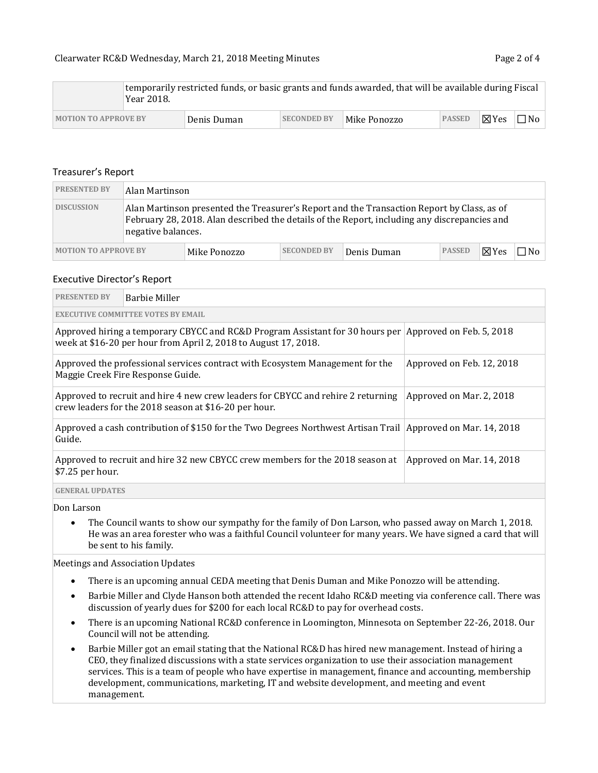|                             |  | Year 2018.  |                    |              | temporarily restricted funds, or basic grants and funds awarded, that will be available during Fiscal |       |           |  |
|-----------------------------|--|-------------|--------------------|--------------|-------------------------------------------------------------------------------------------------------|-------|-----------|--|
| <b>MOTION TO APPROVE BY</b> |  | Denis Duman | <b>SECONDED BY</b> | Mike Ponozzo | <b>PASSED</b>                                                                                         | ∥⊠Yes | $\Box$ No |  |

#### Treasurer's Report

| <b>PRESENTED BY</b>         |                                                                                                                                                                                                                  | Alan Martinson |                    |             |               |                 |     |
|-----------------------------|------------------------------------------------------------------------------------------------------------------------------------------------------------------------------------------------------------------|----------------|--------------------|-------------|---------------|-----------------|-----|
| <b>DISCUSSION</b>           | Alan Martinson presented the Treasurer's Report and the Transaction Report by Class, as of<br>February 28, 2018. Alan described the details of the Report, including any discrepancies and<br>negative balances. |                |                    |             |               |                 |     |
| <b>MOTION TO APPROVE BY</b> |                                                                                                                                                                                                                  | Mike Ponozzo   | <b>SECONDED BY</b> | Denis Duman | <b>PASSED</b> | $\boxtimes$ Yes | ∩N⊓ |

#### Executive Director's Report

| <b>PRESENTED BY</b>                                                                                                            | Barbie Miller                                                                                                                                                             |                           |  |  |  |  |
|--------------------------------------------------------------------------------------------------------------------------------|---------------------------------------------------------------------------------------------------------------------------------------------------------------------------|---------------------------|--|--|--|--|
|                                                                                                                                | <b>EXECUTIVE COMMITTEE VOTES BY EMAIL</b>                                                                                                                                 |                           |  |  |  |  |
|                                                                                                                                | Approved hiring a temporary CBYCC and RC&D Program Assistant for 30 hours per Approved on Feb. 5, 2018<br>week at \$16-20 per hour from April 2, 2018 to August 17, 2018. |                           |  |  |  |  |
|                                                                                                                                | Approved the professional services contract with Ecosystem Management for the<br>Maggie Creek Fire Response Guide.                                                        | Approved on Feb. 12, 2018 |  |  |  |  |
|                                                                                                                                | Approved to recruit and hire 4 new crew leaders for CBYCC and rehire 2 returning<br>Approved on Mar. 2, 2018<br>crew leaders for the 2018 season at \$16-20 per hour.     |                           |  |  |  |  |
| Approved a cash contribution of \$150 for the Two Degrees Northwest Artisan Trail Approved on Mar. 14, 2018<br>Guide.          |                                                                                                                                                                           |                           |  |  |  |  |
| Approved to recruit and hire 32 new CBYCC crew members for the 2018 season at<br>Approved on Mar. 14, 2018<br>\$7.25 per hour. |                                                                                                                                                                           |                           |  |  |  |  |
| <b>GENERAL UPDATES</b>                                                                                                         |                                                                                                                                                                           |                           |  |  |  |  |

Don Larson

• The Council wants to show our sympathy for the family of Don Larson, who passed away on March 1, 2018. He was an area forester who was a faithful Council volunteer for many years. We have signed a card that will be sent to his family.

Meetings and Association Updates

- There is an upcoming annual CEDA meeting that Denis Duman and Mike Ponozzo will be attending.
- Barbie Miller and Clyde Hanson both attended the recent Idaho RC&D meeting via conference call. There was discussion of yearly dues for \$200 for each local RC&D to pay for overhead costs.
- There is an upcoming National RC&D conference in Loomington, Minnesota on September 22-26, 2018. Our Council will not be attending.
- Barbie Miller got an email stating that the National RC&D has hired new management. Instead of hiring a CEO, they finalized discussions with a state services organization to use their association management services. This is a team of people who have expertise in management, finance and accounting, membership development, communications, marketing, IT and website development, and meeting and event management.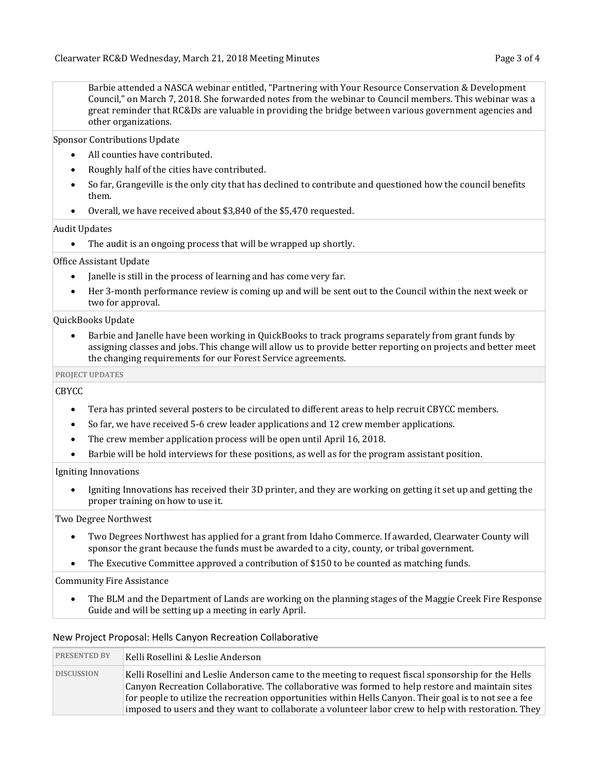Barbie attended a NASCA webinar entitled, "Partnering with Your Resource Conservation & Development Council," on March 7, 2018. She forwarded notes from the webinar to Council members. This webinar was a great reminder that RC&Ds are valuable in providing the bridge between various government agencies and other organizations.

Sponsor Contributions Update

- All counties have contributed.
- Roughly half of the cities have contributed.
- So far, Grangeville is the only city that has declined to contribute and questioned how the council benefits them.
- Overall, we have received about \$3,840 of the \$5,470 requested.

Audit Updates

• The audit is an ongoing process that will be wrapped up shortly.

#### Office Assistant Update

- Janelle is still in the process of learning and has come very far.
- Her 3-month performance review is coming up and will be sent out to the Council within the next week or two for approval.

QuickBooks Update

• Barbie and Janelle have been working in QuickBooks to track programs separately from grant funds by assigning classes and jobs. This change will allow us to provide better reporting on projects and better meet the changing requirements for our Forest Service agreements.

#### **PROJECT UPDATES**

CBYCC

- Tera has printed several posters to be circulated to different areas to help recruit CBYCC members.
- So far, we have received 5-6 crew leader applications and 12 crew member applications.
- The crew member application process will be open until April 16, 2018.
- Barbie will be hold interviews for these positions, as well as for the program assistant position.

#### Igniting Innovations

• Igniting Innovations has received their 3D printer, and they are working on getting it set up and getting the proper training on how to use it.

Two Degree Northwest

- Two Degrees Northwest has applied for a grant from Idaho Commerce. If awarded, Clearwater County will sponsor the grant because the funds must be awarded to a city, county, or tribal government.
- The Executive Committee approved a contribution of \$150 to be counted as matching funds.

Community Fire Assistance

• The BLM and the Department of Lands are working on the planning stages of the Maggie Creek Fire Response Guide and will be setting up a meeting in early April.

#### New Project Proposal: Hells Canyon Recreation Collaborative

| <b>PRESENTED BY</b> | Kelli Rosellini & Leslie Anderson                                                                                                                                                                                                                                                                                                                                                                                        |
|---------------------|--------------------------------------------------------------------------------------------------------------------------------------------------------------------------------------------------------------------------------------------------------------------------------------------------------------------------------------------------------------------------------------------------------------------------|
| <b>DISCUSSION</b>   | Kelli Rosellini and Leslie Anderson came to the meeting to request fiscal sponsorship for the Hells<br>Canyon Recreation Collaborative. The collaborative was formed to help restore and maintain sites<br>for people to utilize the recreation opportunities within Hells Canyon. Their goal is to not see a fee<br>imposed to users and they want to collaborate a volunteer labor crew to help with restoration. They |